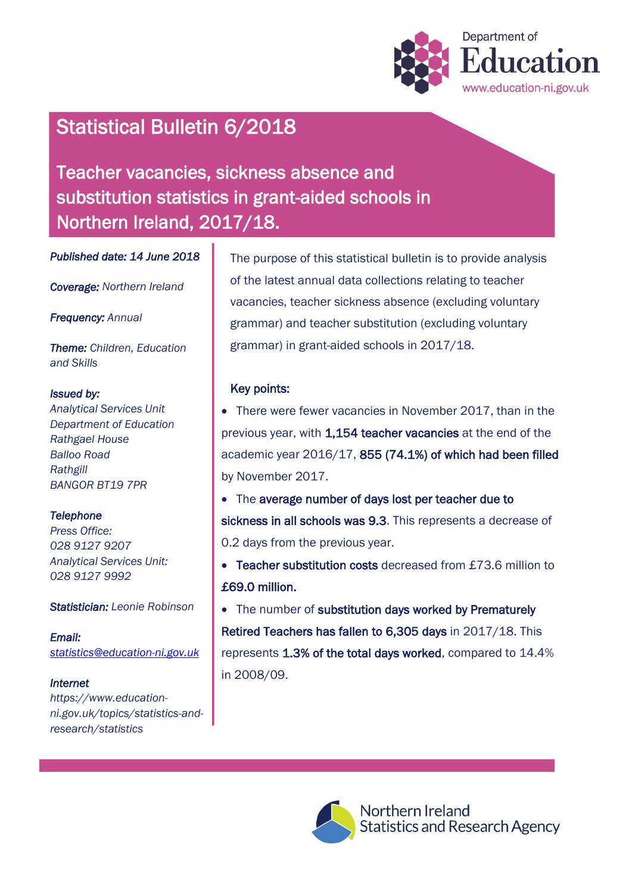

# Statistical Bulletin 6/2018

Teacher vacancies, sickness absence and substitution statistics in grant-aided schools in Northern Ireland, 2017/18.

*Published date: 14 June 2018* 

*Coverage: Northern Ireland* 

*Frequency: Annual*

*Theme: Children, Education and Skills*

#### *Issued by:*

*Analytical Services Unit Department of Education Rathgael House Balloo Road Rathgill BANGOR BT19 7PR*

#### *Telephone*

*Press Office: 028 9127 9207 Analytical Services Unit: 028 9127 9992*

*Statistician: Leonie Robinson*

*Email: [statistics@education-ni.gov.uk](mailto:statistics@education-ni.gov.uk)*

#### *Internet*

*https://www.educationni.gov.uk/topics/statistics-andresearch/statistics*

The purpose of this statistical bulletin is to provide analysis of the latest annual data collections relating to teacher vacancies, teacher sickness absence (excluding voluntary grammar) and teacher substitution (excluding voluntary grammar) in grant-aided schools in 2017/18.

#### Key points:

 There were fewer vacancies in November 2017, than in the previous year, with 1,154 teacher vacancies at the end of the academic year 2016/17, 855 (74.1%) of which had been filled by November 2017.

• The average number of days lost per teacher due to sickness in all schools was 9.3. This represents a decrease of 0.2 days from the previous year.

• Teacher substitution costs decreased from £73.6 million to £69.0 million.

• The number of substitution days worked by Prematurely Retired Teachers has fallen to 6,305 days in 2017/18. This represents 1.3% of the total days worked, compared to 14.4% in 2008/09.



Northern Ireland Statistics and Research Agency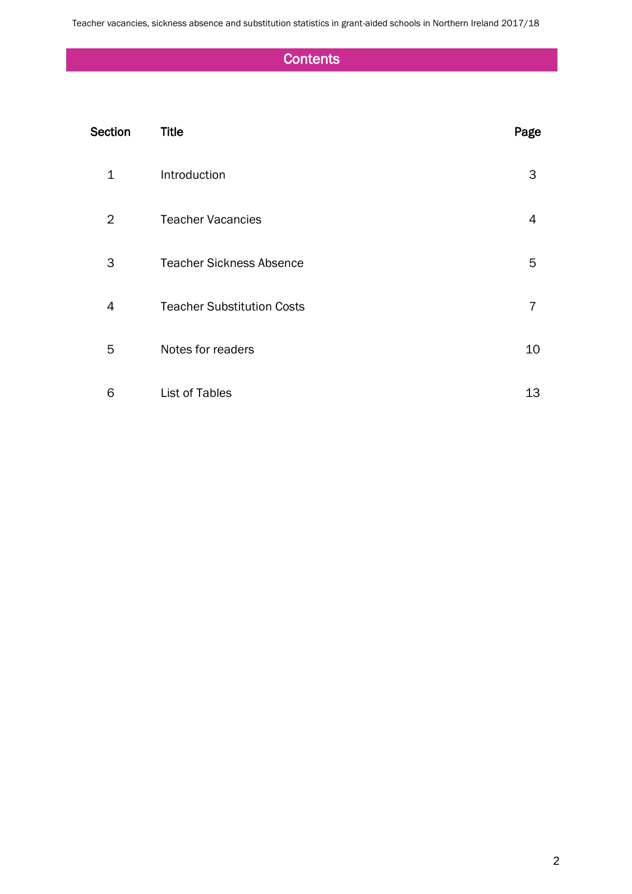Teacher vacancies, sickness absence and substitution statistics in grant-aided schools in Northern Ireland 2017/18

## **Contents**

| Section | <b>Title</b>                      | Page           |
|---------|-----------------------------------|----------------|
| 1       | Introduction                      | 3              |
| 2       | <b>Teacher Vacancies</b>          | 4              |
| 3       | <b>Teacher Sickness Absence</b>   | 5              |
| 4       | <b>Teacher Substitution Costs</b> | $\overline{7}$ |
| 5       | Notes for readers                 | 10             |
| 6       | List of Tables                    | 13             |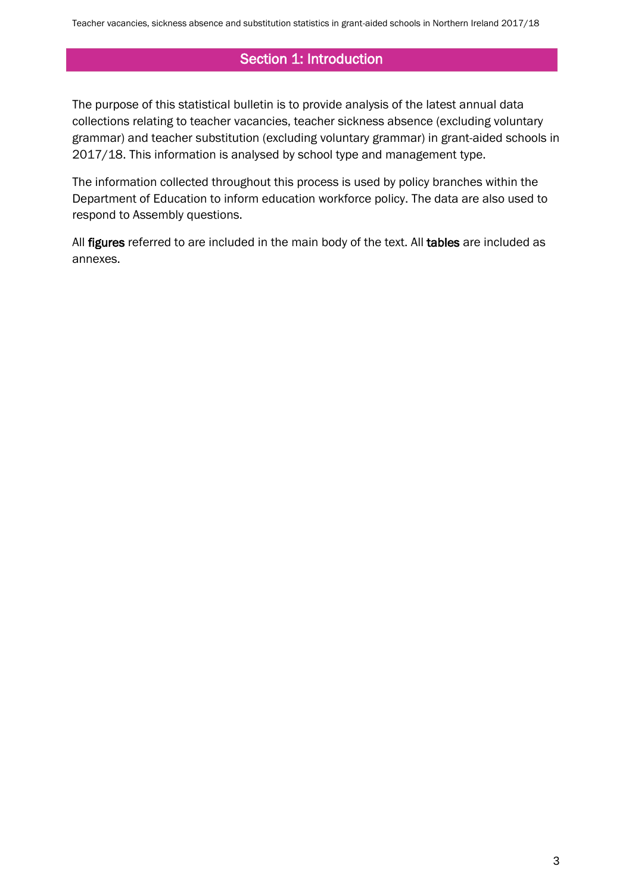## Section 1: Introduction

The purpose of this statistical bulletin is to provide analysis of the latest annual data collections relating to teacher vacancies, teacher sickness absence (excluding voluntary grammar) and teacher substitution (excluding voluntary grammar) in grant-aided schools in 2017/18. This information is analysed by school type and management type.

The information collected throughout this process is used by policy branches within the Department of Education to inform education workforce policy. The data are also used to respond to Assembly questions.

All figures referred to are included in the main body of the text. All tables are included as annexes.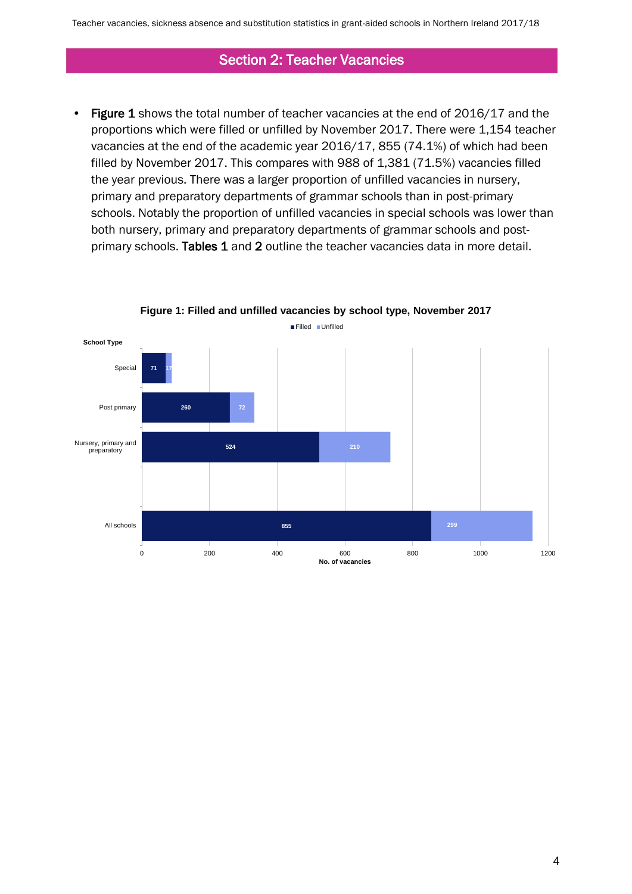#### Section 2: Teacher Vacancies

• Figure 1 shows the total number of teacher vacancies at the end of 2016/17 and the proportions which were filled or unfilled by November 2017. There were 1,154 teacher vacancies at the end of the academic year 2016/17, 855 (74.1%) of which had been filled by November 2017. This compares with 988 of 1,381 (71.5%) vacancies filled the year previous. There was a larger proportion of unfilled vacancies in nursery, primary and preparatory departments of grammar schools than in post-primary schools. Notably the proportion of unfilled vacancies in special schools was lower than both nursery, primary and preparatory departments of grammar schools and postprimary schools. Tables 1 and 2 outline the teacher vacancies data in more detail.



**Figure 1: Filled and unfilled vacancies by school type, November 2017**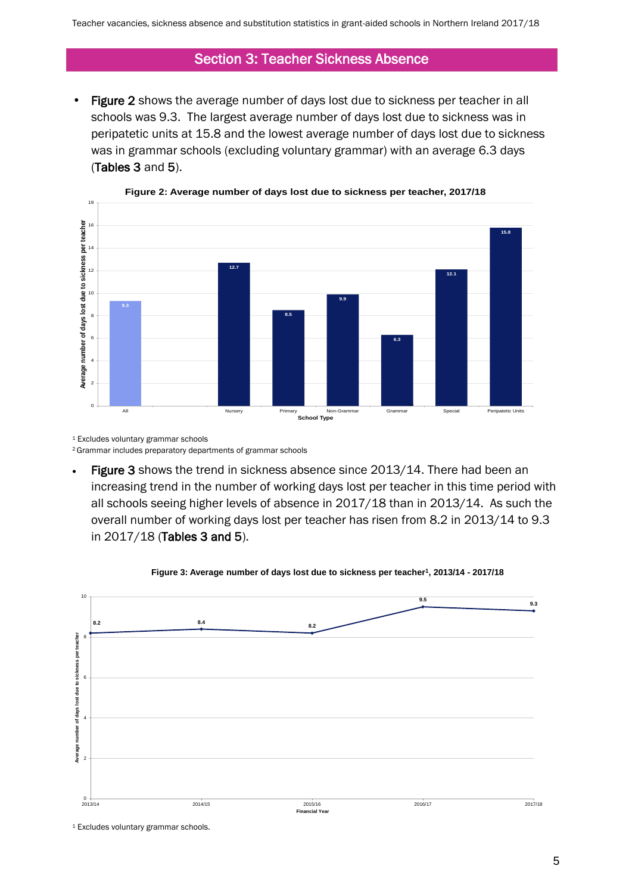#### Section 3: Teacher Sickness Absence

Figure 2 shows the average number of days lost due to sickness per teacher in all schools was 9.3. The largest average number of days lost due to sickness was in peripatetic units at 15.8 and the lowest average number of days lost due to sickness was in grammar schools (excluding voluntary grammar) with an average 6.3 days (Tables 3 and 5).





<sup>1</sup> Excludes voluntary grammar schools

<sup>2</sup> Grammar includes preparatory departments of grammar schools

Figure 3 shows the trend in sickness absence since 2013/14. There had been an increasing trend in the number of working days lost per teacher in this time period with all schools seeing higher levels of absence in 2017/18 than in 2013/14. As such the overall number of working days lost per teacher has risen from 8.2 in 2013/14 to 9.3 in 2017/18 (Tables 3 and 5).



**Figure 3: Average number of days lost due to sickness per teacher<sup>1</sup> , 2013/14 - 2017/18**

<sup>1</sup> Excludes voluntary grammar schools.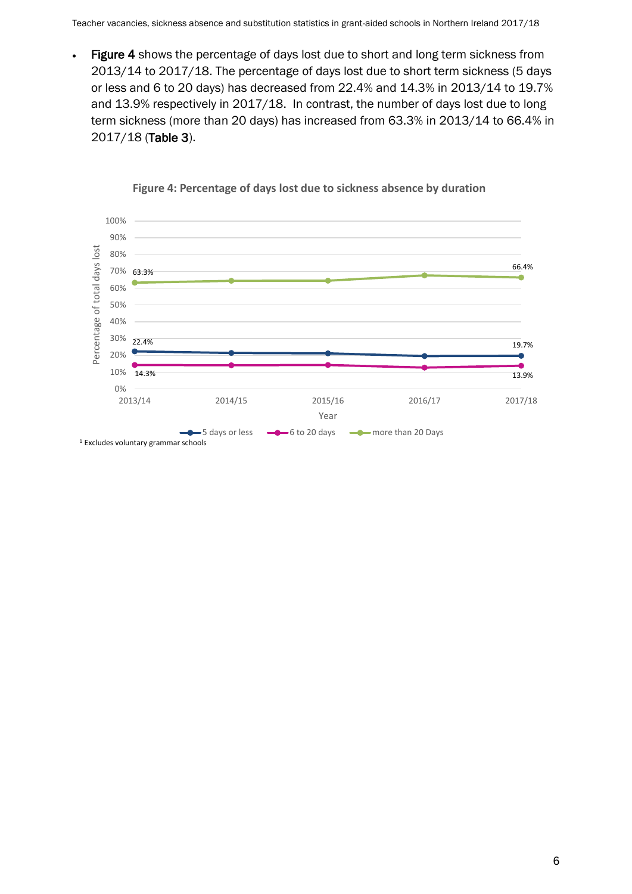• Figure 4 shows the percentage of days lost due to short and long term sickness from 2013/14 to 2017/18. The percentage of days lost due to short term sickness (5 days or less and 6 to 20 days) has decreased from 22.4% and 14.3% in 2013/14 to 19.7% and 13.9% respectively in 2017/18. In contrast, the number of days lost due to long term sickness (more than 20 days) has increased from 63.3% in 2013/14 to 66.4% in 2017/18 (Table 3).



#### **Figure 4: Percentage of days lost due to sickness absence by duration**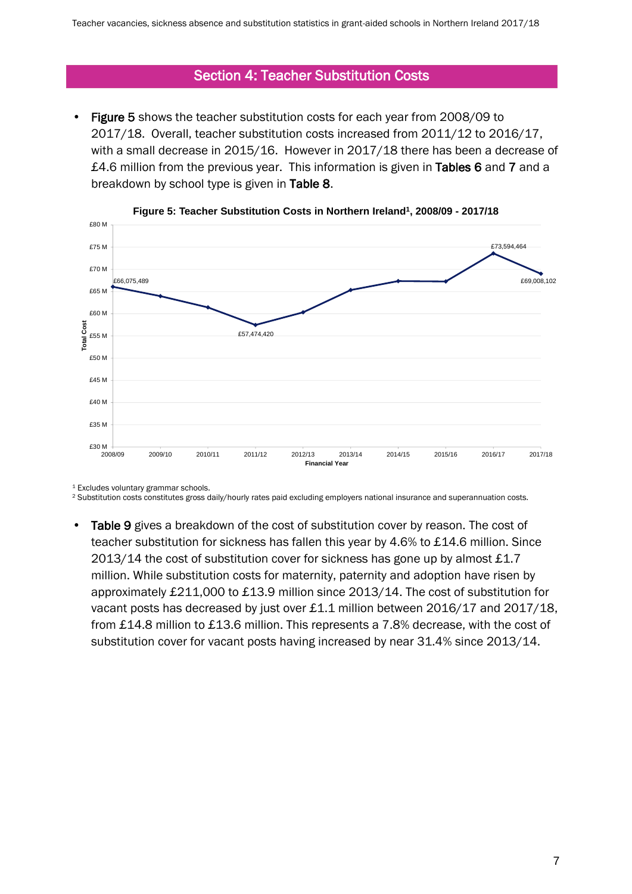#### Section 4: Teacher Substitution Costs

• Figure 5 shows the teacher substitution costs for each year from 2008/09 to 2017/18. Overall, teacher substitution costs increased from 2011/12 to 2016/17, with a small decrease in 2015/16. However in 2017/18 there has been a decrease of £4.6 million from the previous year. This information is given in Tables 6 and 7 and a breakdown by school type is given in Table 8.





<sup>1</sup> Excludes voluntary grammar schools.

<sup>2</sup> Substitution costs constitutes gross daily/hourly rates paid excluding employers national insurance and superannuation costs.

• Table 9 gives a breakdown of the cost of substitution cover by reason. The cost of teacher substitution for sickness has fallen this year by 4.6% to £14.6 million. Since 2013/14 the cost of substitution cover for sickness has gone up by almost £1.7 million. While substitution costs for maternity, paternity and adoption have risen by approximately £211,000 to £13.9 million since 2013/14. The cost of substitution for vacant posts has decreased by just over £1.1 million between 2016/17 and 2017/18, from £14.8 million to £13.6 million. This represents a 7.8% decrease, with the cost of substitution cover for vacant posts having increased by near 31.4% since 2013/14.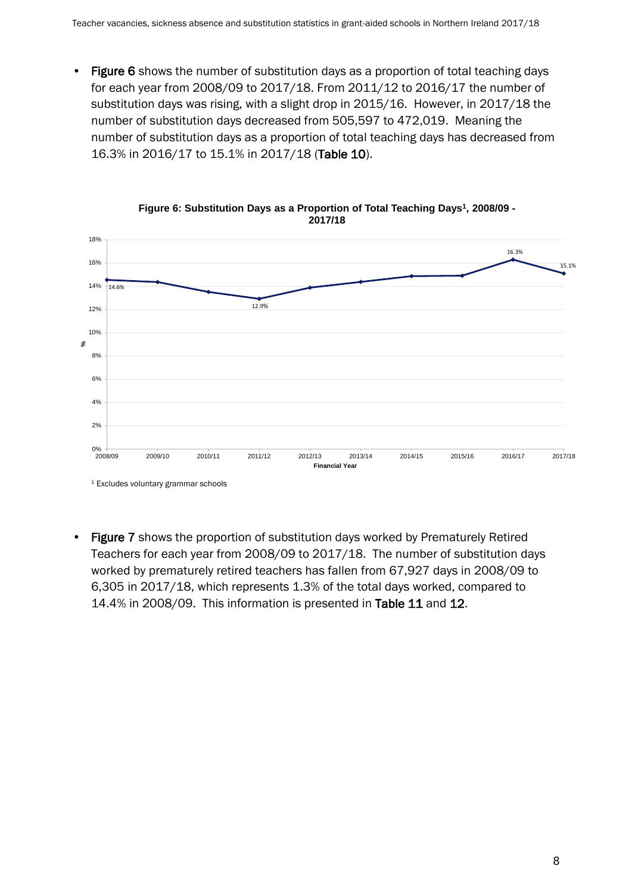• Figure 6 shows the number of substitution days as a proportion of total teaching days for each year from 2008/09 to 2017/18. From 2011/12 to 2016/17 the number of substitution days was rising, with a slight drop in 2015/16. However, in 2017/18 the number of substitution days decreased from 505,597 to 472,019. Meaning the number of substitution days as a proportion of total teaching days has decreased from 16.3% in 2016/17 to 15.1% in 2017/18 (Table 10).



**Figure 6: Substitution Days as a Proportion of Total Teaching Days<sup>1</sup> , 2008/09 - 2017/18**

• Figure 7 shows the proportion of substitution days worked by Prematurely Retired Teachers for each year from 2008/09 to 2017/18. The number of substitution days worked by prematurely retired teachers has fallen from 67,927 days in 2008/09 to 6,305 in 2017/18, which represents 1.3% of the total days worked, compared to 14.4% in 2008/09. This information is presented in Table 11 and 12.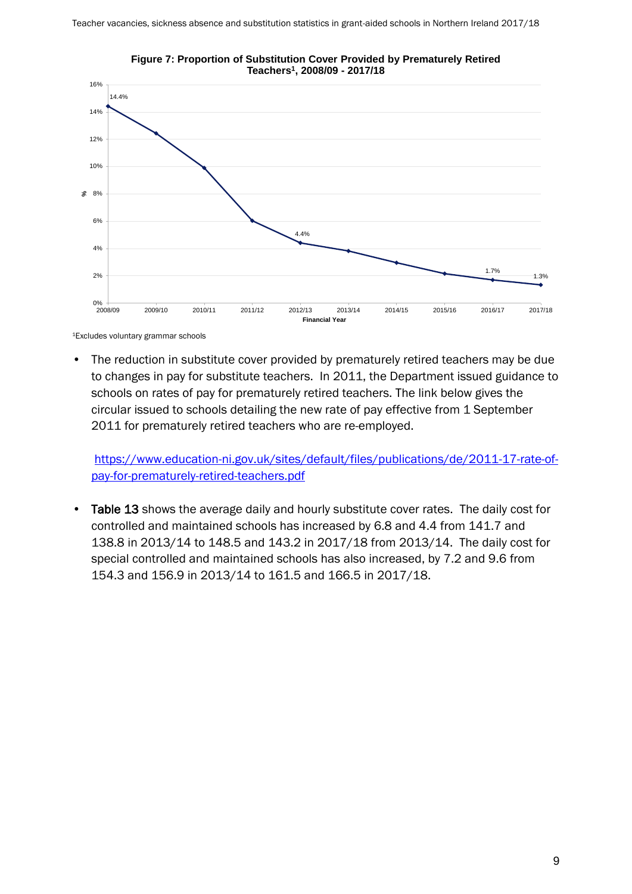

**Figure 7: Proportion of Substitution Cover Provided by Prematurely Retired Teachers<sup>1</sup> , 2008/09 - 2017/18**

<sup>1</sup>Excludes voluntary grammar schools

• The reduction in substitute cover provided by prematurely retired teachers may be due to changes in pay for substitute teachers. In 2011, the Department issued guidance to schools on rates of pay for prematurely retired teachers. The link below gives the circular issued to schools detailing the new rate of pay effective from 1 September 2011 for prematurely retired teachers who are re-employed.

[https://www.education-ni.gov.uk/sites/default/files/publications/de/2011-17-rate-of](https://www.education-ni.gov.uk/sites/default/files/publications/de/2011-17-rate-of-pay-for-prematurely-retired-teachers.pdf)[pay-for-prematurely-retired-teachers.pdf](https://www.education-ni.gov.uk/sites/default/files/publications/de/2011-17-rate-of-pay-for-prematurely-retired-teachers.pdf)

• Table 13 shows the average daily and hourly substitute cover rates. The daily cost for controlled and maintained schools has increased by 6.8 and 4.4 from 141.7 and 138.8 in 2013/14 to 148.5 and 143.2 in 2017/18 from 2013/14. The daily cost for special controlled and maintained schools has also increased, by 7.2 and 9.6 from 154.3 and 156.9 in 2013/14 to 161.5 and 166.5 in 2017/18.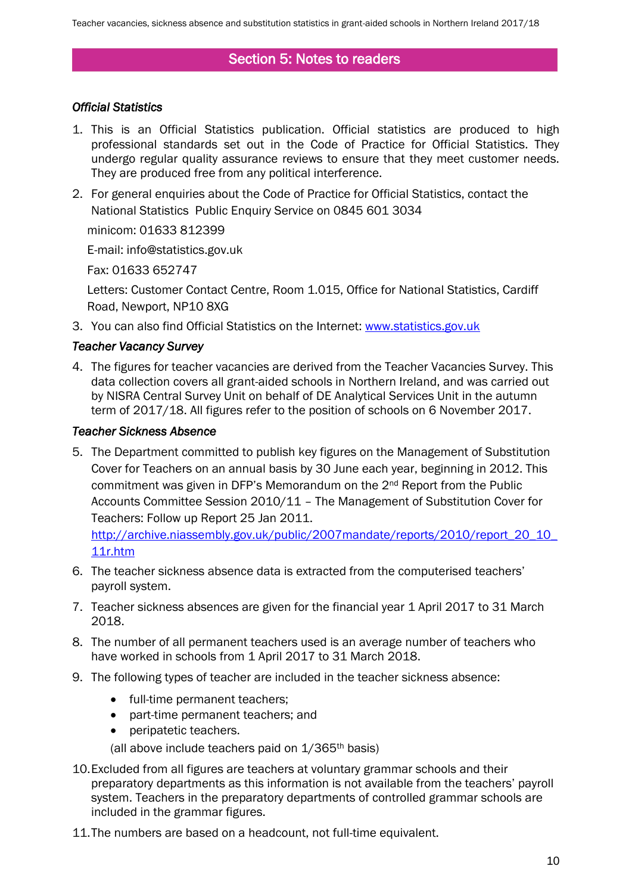### Section 5: Notes to readers

#### *Official Statistics*

- 1. This is an Official Statistics publication. Official statistics are produced to high professional standards set out in the Code of Practice for Official Statistics. They undergo regular quality assurance reviews to ensure that they meet customer needs. They are produced free from any political interference.
- 2. For general enquiries about the Code of Practice for Official Statistics, contact the National Statistics Public Enquiry Service on 0845 601 3034

minicom: 01633 812399

E-mail: info@statistics.gov.uk

Fax: 01633 652747

Letters: Customer Contact Centre, Room 1.015, Office for National Statistics, Cardiff Road, Newport, NP10 8XG

3. You can also find Official Statistics on the Internet: [www.statistics.gov.uk](file://fs002/stats/stats/School%20OTHERS/School%20Meals/School%20Meals%201112/6.%20Press%20Release/www.statistics.gov.uk)

#### *Teacher Vacancy Survey*

4. The figures for teacher vacancies are derived from the Teacher Vacancies Survey. This data collection covers all grant-aided schools in Northern Ireland, and was carried out by NISRA Central Survey Unit on behalf of DE Analytical Services Unit in the autumn term of 2017/18. All figures refer to the position of schools on 6 November 2017.

#### *Teacher Sickness Absence*

5. The Department committed to publish key figures on the Management of Substitution Cover for Teachers on an annual basis by 30 June each year, beginning in 2012. This commitment was given in DFP's Memorandum on the 2nd Report from the Public Accounts Committee Session 2010/11 – The Management of Substitution Cover for Teachers: Follow up Report 25 Jan 2011.

[http://archive.niassembly.gov.uk/public/2007mandate/reports/2010/report\\_20\\_10\\_](http://archive.niassembly.gov.uk/public/2007mandate/reports/2010/report_20_10_11r.htm) [11r.htm](http://archive.niassembly.gov.uk/public/2007mandate/reports/2010/report_20_10_11r.htm)

- 6. The teacher sickness absence data is extracted from the computerised teachers' payroll system.
- 7. Teacher sickness absences are given for the financial year 1 April 2017 to 31 March 2018.
- 8. The number of all permanent teachers used is an average number of teachers who have worked in schools from 1 April 2017 to 31 March 2018.
- 9. The following types of teacher are included in the teacher sickness absence:
	- full-time permanent teachers;
	- part-time permanent teachers; and
	- peripatetic teachers.

(all above include teachers paid on  $1/365$ <sup>th</sup> basis)

- 10.Excluded from all figures are teachers at voluntary grammar schools and their preparatory departments as this information is not available from the teachers' payroll system. Teachers in the preparatory departments of controlled grammar schools are included in the grammar figures.
- 11.The numbers are based on a headcount, not full-time equivalent.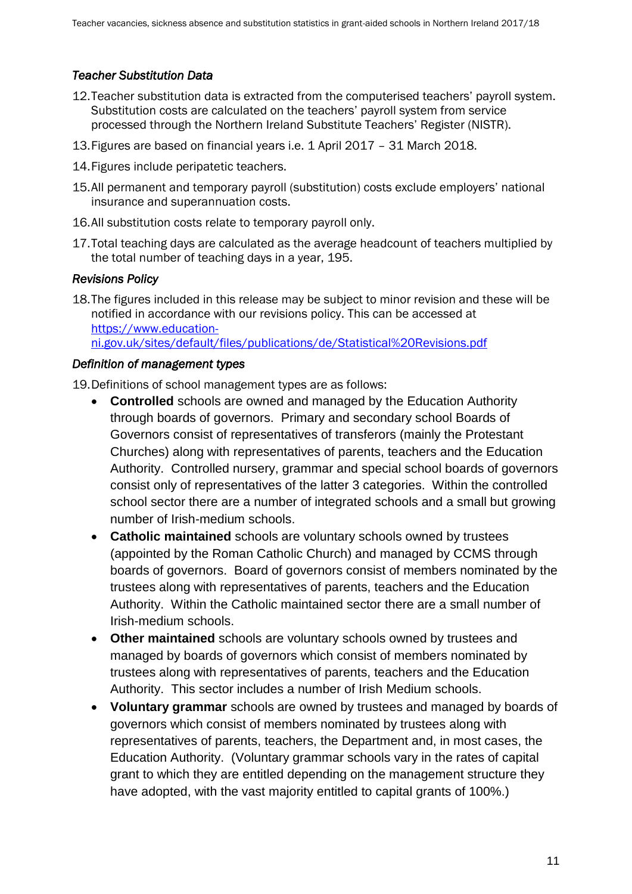#### *Teacher Substitution Data*

- 12.Teacher substitution data is extracted from the computerised teachers' payroll system. Substitution costs are calculated on the teachers' payroll system from service processed through the Northern Ireland Substitute Teachers' Register (NISTR).
- 13.Figures are based on financial years i.e. 1 April 2017 31 March 2018.
- 14.Figures include peripatetic teachers.
- 15.All permanent and temporary payroll (substitution) costs exclude employers' national insurance and superannuation costs.
- 16.All substitution costs relate to temporary payroll only.
- 17.Total teaching days are calculated as the average headcount of teachers multiplied by the total number of teaching days in a year, 195.

#### *Revisions Policy*

18.The figures included in this release may be subject to minor revision and these will be notified in accordance with our revisions policy. This can be accessed at [https://www.education](https://www.education-ni.gov.uk/sites/default/files/publications/de/Statistical%20Revisions.pdf)[ni.gov.uk/sites/default/files/publications/de/Statistical%20Revisions.pdf](https://www.education-ni.gov.uk/sites/default/files/publications/de/Statistical%20Revisions.pdf)

#### *Definition of management types*

19.Definitions of school management types are as follows:

- **Controlled** schools are owned and managed by the Education Authority through boards of governors. Primary and secondary school Boards of Governors consist of representatives of transferors (mainly the Protestant Churches) along with representatives of parents, teachers and the Education Authority. Controlled nursery, grammar and special school boards of governors consist only of representatives of the latter 3 categories. Within the controlled school sector there are a number of integrated schools and a small but growing number of Irish-medium schools.
- **Catholic maintained** schools are voluntary schools owned by trustees (appointed by the Roman Catholic Church) and managed by CCMS through boards of governors. Board of governors consist of members nominated by the trustees along with representatives of parents, teachers and the Education Authority. Within the Catholic maintained sector there are a small number of Irish-medium schools.
- **Other maintained** schools are voluntary schools owned by trustees and managed by boards of governors which consist of members nominated by trustees along with representatives of parents, teachers and the Education Authority. This sector includes a number of Irish Medium schools.
- **Voluntary grammar** schools are owned by trustees and managed by boards of governors which consist of members nominated by trustees along with representatives of parents, teachers, the Department and, in most cases, the Education Authority. (Voluntary grammar schools vary in the rates of capital grant to which they are entitled depending on the management structure they have adopted, with the vast majority entitled to capital grants of 100%.)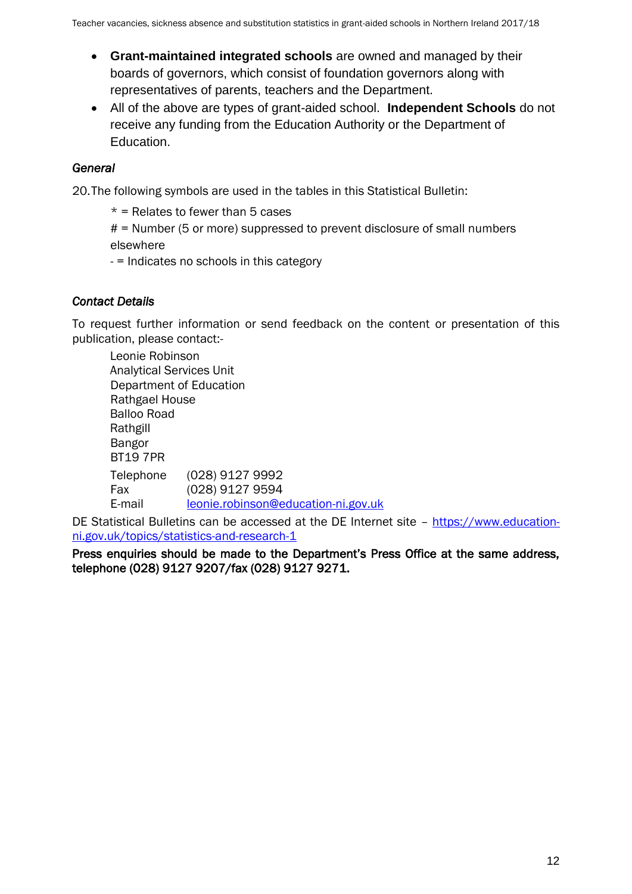- **Grant-maintained integrated schools** are owned and managed by their boards of governors, which consist of foundation governors along with representatives of parents, teachers and the Department.
- All of the above are types of grant-aided school. **Independent Schools** do not receive any funding from the Education Authority or the Department of Education.

### *General*

20.The following symbols are used in the tables in this Statistical Bulletin:

 $*$  = Relates to fewer than 5 cases

 $#$  = Number (5 or more) suppressed to prevent disclosure of small numbers elsewhere

- = Indicates no schools in this category

### *Contact Details*

To request further information or send feedback on the content or presentation of this publication, please contact:-

Leonie Robinson Analytical Services Unit Department of Education Rathgael House Balloo Road Rathgill Bangor BT19 7PR Telephone (028) 9127 9992 Fax (028) 9127 9594 E-mail [leonie.robinson@education-ni.gov.uk](mailto:leonie.robinson@education-ni.gov.uk)

DE Statistical Bulletins can be accessed at the DE Internet site – [https://www.education](https://www.education-ni.gov.uk/topics/statistics-and-research-1)[ni.gov.uk/topics/statistics-and-research-1](https://www.education-ni.gov.uk/topics/statistics-and-research-1)

Press enquiries should be made to the Department's Press Office at the same address, telephone (028) 9127 9207/fax (028) 9127 9271.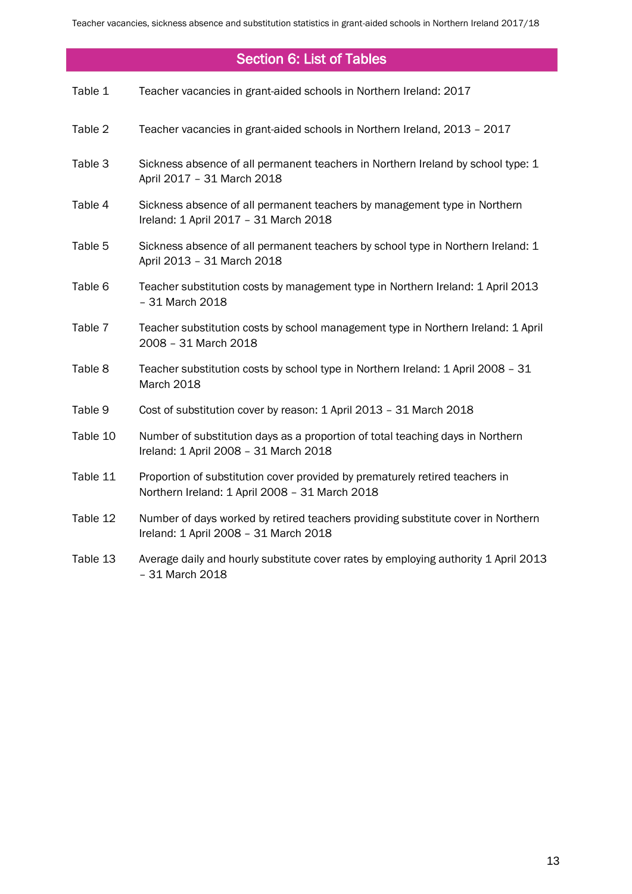## Section 6: List of Tables

| Table 1  | Teacher vacancies in grant-aided schools in Northern Ireland: 2017                                                             |
|----------|--------------------------------------------------------------------------------------------------------------------------------|
| Table 2  | Teacher vacancies in grant-aided schools in Northern Ireland, 2013 - 2017                                                      |
| Table 3  | Sickness absence of all permanent teachers in Northern Ireland by school type: 1<br>April 2017 - 31 March 2018                 |
| Table 4  | Sickness absence of all permanent teachers by management type in Northern<br>Ireland: 1 April 2017 - 31 March 2018             |
| Table 5  | Sickness absence of all permanent teachers by school type in Northern Ireland: 1<br>April 2013 - 31 March 2018                 |
| Table 6  | Teacher substitution costs by management type in Northern Ireland: 1 April 2013<br>- 31 March 2018                             |
| Table 7  | Teacher substitution costs by school management type in Northern Ireland: 1 April<br>2008 - 31 March 2018                      |
| Table 8  | Teacher substitution costs by school type in Northern Ireland: 1 April 2008 - 31<br>March 2018                                 |
| Table 9  | Cost of substitution cover by reason: 1 April 2013 - 31 March 2018                                                             |
| Table 10 | Number of substitution days as a proportion of total teaching days in Northern<br>Ireland: 1 April 2008 - 31 March 2018        |
| Table 11 | Proportion of substitution cover provided by prematurely retired teachers in<br>Northern Ireland: 1 April 2008 - 31 March 2018 |
| Table 12 | Number of days worked by retired teachers providing substitute cover in Northern<br>Ireland: 1 April 2008 - 31 March 2018      |
| Table 13 | Average daily and hourly substitute cover rates by employing authority 1 April 2013<br>- 31 March 2018                         |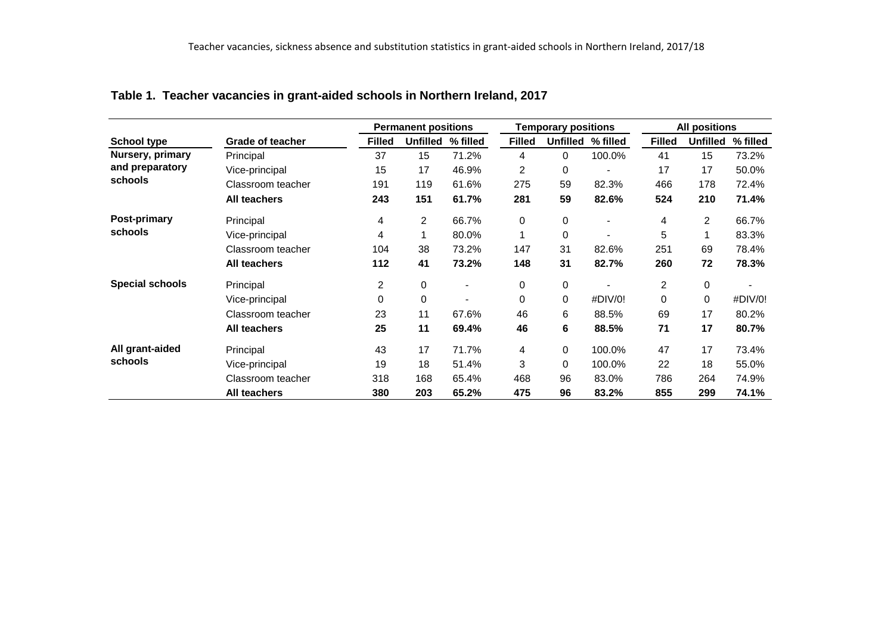|                        |                         |                | <b>Permanent positions</b> |                |               | <b>Temporary positions</b> |                          | <b>All positions</b> |                 |          |  |
|------------------------|-------------------------|----------------|----------------------------|----------------|---------------|----------------------------|--------------------------|----------------------|-----------------|----------|--|
| <b>School type</b>     | <b>Grade of teacher</b> | <b>Filled</b>  | <b>Unfilled</b>            | % filled       | <b>Filled</b> | Unfilled                   | % filled                 | <b>Filled</b>        | <b>Unfilled</b> | % filled |  |
| Nursery, primary       | Principal               | 37             | 15                         | 71.2%          | 4             | 0                          | 100.0%                   | 41                   | 15              | 73.2%    |  |
| and preparatory        | Vice-principal          | 15             | 17                         | 46.9%          | 2             | 0                          |                          | 17                   | 17              | 50.0%    |  |
| schools                | Classroom teacher       | 191            | 119                        | 61.6%          | 275           | 59                         | 82.3%                    | 466                  | 178             | 72.4%    |  |
|                        | <b>All teachers</b>     | 243            | 151                        | 61.7%          | 281           | 59                         | 82.6%                    | 524                  | 210             | 71.4%    |  |
| Post-primary           | Principal               | 4              | $\overline{2}$             | 66.7%          | 0             | 0                          | $\overline{\phantom{a}}$ | 4                    | $\overline{c}$  | 66.7%    |  |
| schools                | Vice-principal          | 4              |                            | 80.0%          | 1             | 0                          |                          | 5                    |                 | 83.3%    |  |
|                        | Classroom teacher       | 104            | 38                         | 73.2%          | 147           | 31                         | 82.6%                    | 251                  | 69              | 78.4%    |  |
|                        | <b>All teachers</b>     | 112            | 41                         | 73.2%          | 148           | 31                         | 82.7%                    | 260                  | 72              | 78.3%    |  |
| <b>Special schools</b> | Principal               | $\overline{c}$ | 0                          | $\blacksquare$ | 0             | $\mathbf 0$                |                          | $\overline{2}$       | 0               |          |  |
|                        | Vice-principal          | 0              | 0                          | ۰              | 0             | 0                          | #DIV/0!                  | 0                    | 0               | #DIV/0!  |  |
|                        | Classroom teacher       | 23             | 11                         | 67.6%          | 46            | 6                          | 88.5%                    | 69                   | 17              | 80.2%    |  |
|                        | <b>All teachers</b>     | 25             | 11                         | 69.4%          | 46            | 6                          | 88.5%                    | 71                   | 17              | 80.7%    |  |
| All grant-aided        | Principal               | 43             | 17                         | 71.7%          | 4             | 0                          | 100.0%                   | 47                   | 17              | 73.4%    |  |
| schools                | Vice-principal          | 19             | 18                         | 51.4%          | 3             | $\Omega$                   | 100.0%                   | 22                   | 18              | 55.0%    |  |
|                        | Classroom teacher       | 318            | 168                        | 65.4%          | 468           | 96                         | 83.0%                    | 786                  | 264             | 74.9%    |  |
|                        | <b>All teachers</b>     | 380            | 203                        | 65.2%          | 475           | 96                         | 83.2%                    | 855                  | 299             | 74.1%    |  |

#### **Table 1. Teacher vacancies in grant-aided schools in Northern Ireland, 2017**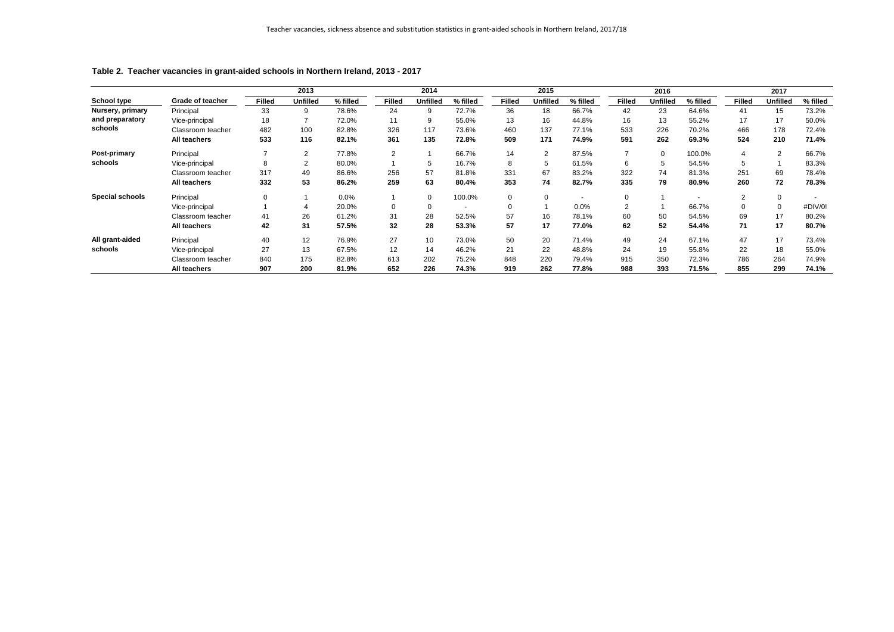|                        |                         |               | 2013            |          |                | 2014            |                          |               | 2015            |          |               | 2016            |          |               | 2017            |          |
|------------------------|-------------------------|---------------|-----------------|----------|----------------|-----------------|--------------------------|---------------|-----------------|----------|---------------|-----------------|----------|---------------|-----------------|----------|
| <b>School type</b>     | <b>Grade of teacher</b> | <b>Filled</b> | <b>Unfilled</b> | % filled | <b>Filled</b>  | <b>Unfilled</b> | % filled                 | <b>Filled</b> | <b>Unfilled</b> | % filled | <b>Filled</b> | <b>Unfilled</b> | % filled | <b>Filled</b> | <b>Unfilled</b> | % filled |
| Nursery, primary       | Principal               | 33            | 9               | 78.6%    | 24             | 9               | 72.7%                    | 36            | 18              | 66.7%    | 42            | 23              | 64.6%    | 41            | 15              | 73.2%    |
| and preparatory        | Vice-principal          | 18            |                 | 72.0%    | 11             | 9               | 55.0%                    | 13            | 16              | 44.8%    | 16            | 13              | 55.2%    | 17            | 17              | 50.0%    |
| schools                | Classroom teacher       | 482           | 100             | 82.8%    | 326            | 117             | 73.6%                    | 460           | 137             | 77.1%    | 533           | 226             | 70.2%    | 466           | 178             | 72.4%    |
|                        | <b>All teachers</b>     | 533           | 116             | 82.1%    | 361            | 135             | 72.8%                    | 509           | 171             | 74.9%    | 591           | 262             | 69.3%    | 524           | 210             | 71.4%    |
| <b>Post-primary</b>    | Principal               |               | $\overline{2}$  | 77.8%    | $\overline{2}$ |                 | 66.7%                    | 14            | $\overline{2}$  | 87.5%    |               | 0               | 100.0%   |               | 2               | 66.7%    |
| schools                | Vice-principal          | 8             | 2               | 80.0%    |                | 5               | 16.7%                    | 8             | 5               | 61.5%    | 6             | 5               | 54.5%    | 5             |                 | 83.3%    |
|                        | Classroom teacher       | 317           | 49              | 86.6%    | 256            | 57              | 81.8%                    | 331           | 67              | 83.2%    | 322           | 74              | 81.3%    | 251           | 69              | 78.4%    |
|                        | All teachers            | 332           | 53              | 86.2%    | 259            | 63              | 80.4%                    | 353           | 74              | 82.7%    | 335           | 79              | 80.9%    | 260           | 72              | 78.3%    |
| <b>Special schools</b> | Principal               | 0             |                 | 0.0%     |                | 0               | 100.0%                   | 0             | $\mathbf 0$     |          | $\Omega$      |                 |          | 2             |                 |          |
|                        | Vice-principal          |               | 4               | 20.0%    | $\mathbf 0$    |                 | $\overline{\phantom{a}}$ | 0             |                 | 0.0%     |               |                 | 66.7%    |               |                 | #DIV/0!  |
|                        | Classroom teacher       | 41            | 26              | 61.2%    | 31             | 28              | 52.5%                    | 57            | 16              | 78.1%    | 60            | 50              | 54.5%    | 69            | 17              | 80.2%    |
|                        | <b>All teachers</b>     | 42            | 31              | 57.5%    | 32             | 28              | 53.3%                    | 57            | 17              | 77.0%    | 62            | 52              | 54.4%    | 71            | 17              | 80.7%    |
| All grant-aided        | Principal               | 40            | 12              | 76.9%    | 27             | 10              | 73.0%                    | 50            | 20              | 71.4%    | 49            | 24              | 67.1%    | 47            | 17              | 73.4%    |
| schools                | Vice-principal          | 27            | 13              | 67.5%    | 12             | 14              | 46.2%                    | 21            | 22              | 48.8%    | 24            | 19              | 55.8%    | 22            | 18              | 55.0%    |
|                        | Classroom teacher       | 840           | 175             | 82.8%    | 613            | 202             | 75.2%                    | 848           | 220             | 79.4%    | 915           | 350             | 72.3%    | 786           | 264             | 74.9%    |
|                        | <b>All teachers</b>     | 907           | 200             | 81.9%    | 652            | 226             | 74.3%                    | 919           | 262             | 77.8%    | 988           | 393             | 71.5%    | 855           | 299             | 74.1%    |

## **Table 2. Teacher vacancies in grant-aided schools in Northern Ireland, 2013 - 2017**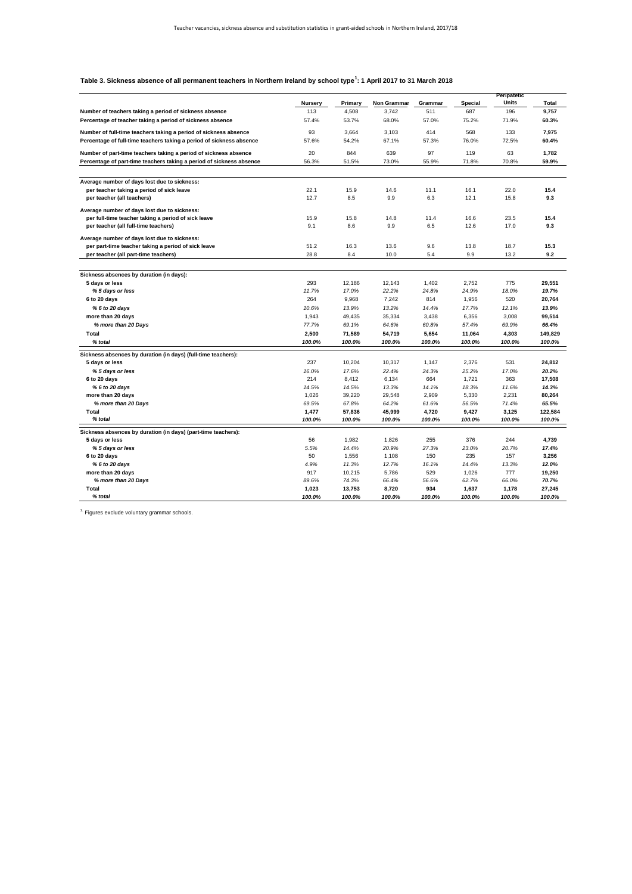|                                                                                                     |                |                 |                    |                |                | <b>Peripatetic</b> |                 |
|-----------------------------------------------------------------------------------------------------|----------------|-----------------|--------------------|----------------|----------------|--------------------|-----------------|
|                                                                                                     | <b>Nursery</b> | <b>Primary</b>  | <b>Non Grammar</b> | Grammar        | <b>Special</b> | <b>Units</b>       | <b>Total</b>    |
| Number of teachers taking a period of sickness absence                                              | 113            | 4,508           | 3,742              | 511            | 687            | 196                | 9,757           |
| Percentage of teacher taking a period of sickness absence                                           | 57.4%          | 53.7%           | 68.0%              | 57.0%          | 75.2%          | 71.9%              | 60.3%           |
| Number of full-time teachers taking a period of sickness absence                                    | 93             | 3,664           | 3,103              | 414            | 568            | 133                | 7,975           |
|                                                                                                     |                |                 | 67.1%              |                |                |                    |                 |
| Percentage of full-time teachers taking a period of sickness absence                                | 57.6%          | 54.2%           |                    | 57.3%          | 76.0%          | 72.5%              | 60.4%           |
| Number of part-time teachers taking a period of sickness absence                                    | 20             | 844             | 639                | 97             | 119            | 63                 | 1,782           |
| Percentage of part-time teachers taking a period of sickness absence                                | 56.3%          | 51.5%           | 73.0%              | 55.9%          | 71.8%          | 70.8%              | 59.9%           |
|                                                                                                     |                |                 |                    |                |                |                    |                 |
| Average number of days lost due to sickness:                                                        |                |                 |                    |                |                |                    |                 |
| per teacher taking a period of sick leave                                                           | 22.1           | 15.9            | 14.6               | 11.1           | 16.1           | 22.0               | 15.4            |
| per teacher (all teachers)                                                                          | 12.7           | 8.5             | 9.9                | 6.3            | 12.1           | 15.8               | 9.3             |
| Average number of days lost due to sickness:                                                        |                |                 |                    |                |                |                    |                 |
| per full-time teacher taking a period of sick leave                                                 | 15.9           | 15.8            | 14.8               | 11.4           | 16.6           | 23.5               | 15.4            |
| per teacher (all full-time teachers)                                                                | 9.1            | 8.6             | 9.9                | 6.5            | 12.6           | 17.0               | 9.3             |
|                                                                                                     |                |                 |                    |                |                |                    |                 |
| Average number of days lost due to sickness:<br>per part-time teacher taking a period of sick leave | 51.2           | 16.3            | 13.6               | 9.6            | 13.8           | 18.7               | 15.3            |
| per teacher (all part-time teachers)                                                                | 28.8           | 8.4             | 10.0               | 5.4            | 9.9            | 13.2               | 9.2             |
|                                                                                                     |                |                 |                    |                |                |                    |                 |
| Sickness absences by duration (in days):                                                            |                |                 |                    |                |                |                    |                 |
| 5 days or less                                                                                      | 293            | 12,186          | 12,143             | 1,402          | 2,752          | 775                | 29,551          |
| %5 days or less                                                                                     | 11.7%          | 17.0%           | 22.2%              | 24.8%          | 24.9%          | 18.0%              | 19.7%           |
| 6 to 20 days                                                                                        | 264            | 9,968           | 7,242              | 814            | 1,956          | 520                | 20,764          |
| % 6 to 20 days                                                                                      | 10.6%          | 13.9%           | 13.2%              | 14.4%          | 17.7%          | 12.1%              | 13.9%           |
| more than 20 days                                                                                   | 1,943          | 49,435          | 35,334             | 3,438          | 6,356          | 3,008              | 99,514          |
| % more than 20 Days                                                                                 | 77.7%          | 69.1%           | 64.6%              | 60.8%          | 57.4%          | 69.9%              | 66.4%           |
| <b>Total</b>                                                                                        | 2,500          | 71,589          | 54,719             | 5,654          | 11,064         | 4,303              | 149,829         |
| % total                                                                                             | 100.0%         | 100.0%          | 100.0%             | 100.0%         | 100.0%         | 100.0%             | 100.0%          |
|                                                                                                     |                |                 |                    |                |                |                    |                 |
| Sickness absences by duration (in days) (full-time teachers):                                       |                |                 |                    |                |                |                    |                 |
| 5 days or less                                                                                      | 237            | 10,204          | 10,317             | 1,147          | 2,376          | 531                | 24,812          |
| %5 days or less                                                                                     | 16.0%          | 17.6%           | 22.4%              | 24.3%          | 25.2%          | 17.0%              | 20.2%           |
| 6 to 20 days                                                                                        | 214            | 8,412           | 6,134              | 664            | 1,721          | 363                | 17,508          |
| % 6 to 20 days<br>more than 20 days                                                                 | 14.5%<br>1,026 | 14.5%<br>39,220 | 13.3%<br>29,548    | 14.1%<br>2,909 | 18.3%<br>5,330 | 11.6%<br>2,231     | 14.3%<br>80,264 |
| % more than 20 Days                                                                                 | 69.5%          | 67.8%           | 64.2%              | 61.6%          | 56.5%          | 71.4%              | 65.5%           |
| <b>Total</b>                                                                                        | 1,477          | 57,836          | 45,999             | 4,720          | 9,427          | 3,125              | 122,584         |
| % total                                                                                             | 100.0%         | 100.0%          | 100.0%             | 100.0%         | 100.0%         | 100.0%             | 100.0%          |
|                                                                                                     |                |                 |                    |                |                |                    |                 |
| Sickness absences by duration (in days) (part-time teachers):                                       |                |                 |                    |                |                |                    |                 |
| 5 days or less                                                                                      | 56             | 1,982           | 1,826              | 255            | 376            | 244                | 4,739           |
| %5 days or less                                                                                     | 5.5%           | 14.4%           | 20.9%              | 27.3%          | 23.0%          | 20.7%              | 17.4%           |
| 6 to 20 days                                                                                        | 50             | 1,556           | 1,108              | 150            | 235            | 157                | 3,256           |
| % 6 to 20 days                                                                                      | 4.9%           | 11.3%           | 12.7%              | 16.1%          | 14.4%          | 13.3%              | 12.0%           |
| more than 20 days<br>% more than 20 Days                                                            | 917<br>89.6%   | 10,215<br>74.3% | 5,786<br>66.4%     | 529<br>56.6%   | 1,026<br>62.7% | 777<br>66.0%       | 19,250<br>70.7% |
| <b>Total</b>                                                                                        | 1,023          | 13,753          | 8,720              | 934            | 1,637          | 1,178              | 27,245          |
|                                                                                                     |                |                 |                    |                |                |                    |                 |

| 100.0%<br>100.0% |
|------------------|
|                  |

 $<sup>1</sup>$  Figures exclude voluntary grammar schools.</sup>

#### **Table 3. Sickness absence of all permanent teachers in Northern Ireland by school type<sup>1</sup> : 1 April 2017 to 31 March 2018**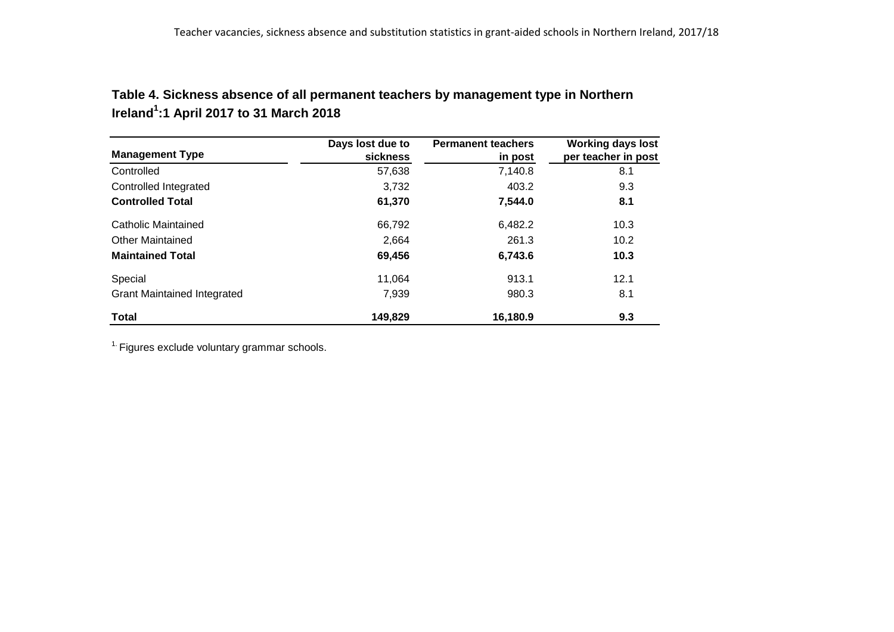| Table 4. Sickness absence of all permanent teachers by management type in Northern |
|------------------------------------------------------------------------------------|
| Ireland <sup>1</sup> :1 April 2017 to 31 March 2018                                |

|                                    | Days lost due to | <b>Permanent teachers</b> | <b>Working days lost</b> |
|------------------------------------|------------------|---------------------------|--------------------------|
| <b>Management Type</b>             | sickness         | in post                   | per teacher in post      |
| Controlled                         | 57,638           | 7,140.8                   | 8.1                      |
| Controlled Integrated              | 3,732            | 403.2                     | 9.3                      |
| <b>Controlled Total</b>            | 61,370           | 7,544.0                   | 8.1                      |
| Catholic Maintained                | 66,792           | 6,482.2                   | 10.3                     |
| <b>Other Maintained</b>            | 2,664            | 261.3                     | 10.2                     |
| <b>Maintained Total</b>            | 69,456           | 6,743.6                   | 10.3                     |
| Special                            | 11.064           | 913.1                     | 12.1                     |
| <b>Grant Maintained Integrated</b> | 7,939            | 980.3                     | 8.1                      |
| <b>Total</b>                       | 149,829          | 16,180.9                  | 9.3                      |

 $1.$  Figures exclude voluntary grammar schools.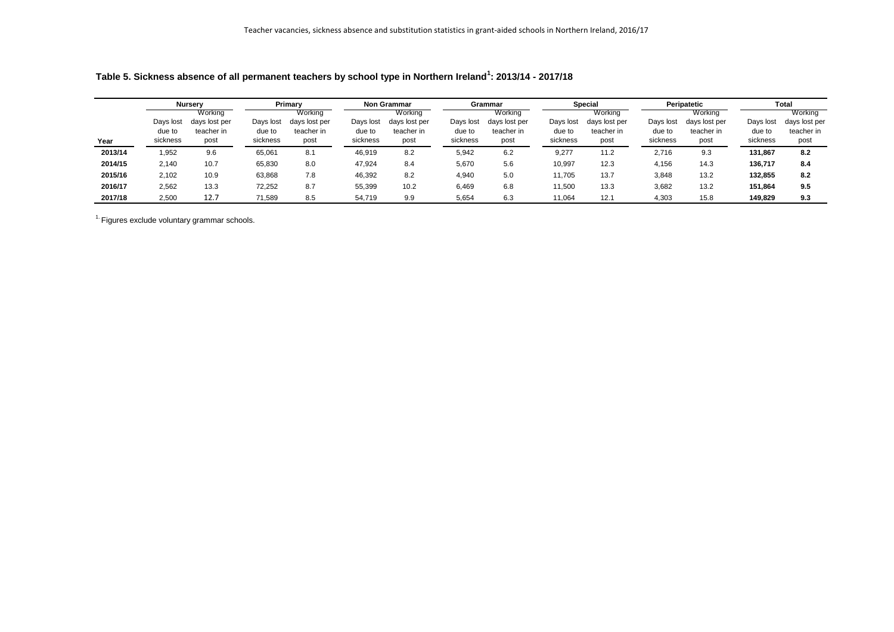|         |                                 | <b>Nursery</b>                                 |                                 | Primary                                        |                                 | <b>Non Grammar</b>                             |                                 | Grammar                                        |                                 | <b>Special</b>                                 |                                 | Peripatetic                                    |                                 | <b>Total</b>                                   |
|---------|---------------------------------|------------------------------------------------|---------------------------------|------------------------------------------------|---------------------------------|------------------------------------------------|---------------------------------|------------------------------------------------|---------------------------------|------------------------------------------------|---------------------------------|------------------------------------------------|---------------------------------|------------------------------------------------|
| Year    | Days lost<br>due to<br>sickness | Working<br>days lost per<br>teacher in<br>post | Days lost<br>due to<br>sickness | Working<br>days lost per<br>teacher in<br>post | Days lost<br>due to<br>sickness | Working<br>days lost per<br>teacher in<br>post | Days lost<br>due to<br>sickness | Working<br>days lost per<br>teacher in<br>post | Days lost<br>due to<br>sickness | Working<br>days lost per<br>teacher in<br>post | Days lost<br>due to<br>sickness | Working<br>days lost per<br>teacher in<br>post | Days lost<br>due to<br>sickness | Working<br>days lost per<br>teacher in<br>post |
| 2013/14 | 1,952                           | 9.6                                            | 65,061                          | 8.1                                            | 46,919                          | 8.2                                            | 5,942                           | 6.2                                            | 9,277                           | 11.2                                           | 2,716                           | 9.3                                            | 131,867                         | 8.2                                            |
| 2014/15 | 2,140                           | 10.7                                           | 65,830                          | 8.0                                            | 47,924                          | 8.4                                            | 5,670                           | 5.6                                            | 10,997                          | 12.3                                           | 4,156                           | 14.3                                           | 136,717                         | 8.4                                            |
| 2015/16 | 2,102                           | 10.9                                           | 63,868                          | 7.8                                            | 46,392                          | 8.2                                            | 4,940                           | 5.0                                            | 11,705                          | 13.7                                           | 3,848                           | 13.2                                           | 132,855                         | 8.2                                            |
| 2016/17 | 2,562                           | 13.3                                           | 72,252                          | 8.7                                            | 55,399                          | 10.2                                           | 6,469                           | 6.8                                            | 11,500                          | 13.3                                           | 3,682                           | 13.2                                           | 151,864                         | 9.5                                            |
| 2017/18 | 2,500                           | 12.7                                           | 71,589                          | 8.5                                            | 54,719                          | 9.9                                            | 5,654                           | 6.3                                            | 11,064                          | 12.1                                           | 4,303                           | 15.8                                           | 149.829                         | 9.3                                            |

**Table 5. Sickness absence of all permanent teachers by school type in Northern Ireland<sup>1</sup> : 2013/14 - 2017/18**

 $<sup>1</sup>$  Figures exclude voluntary grammar schools.</sup>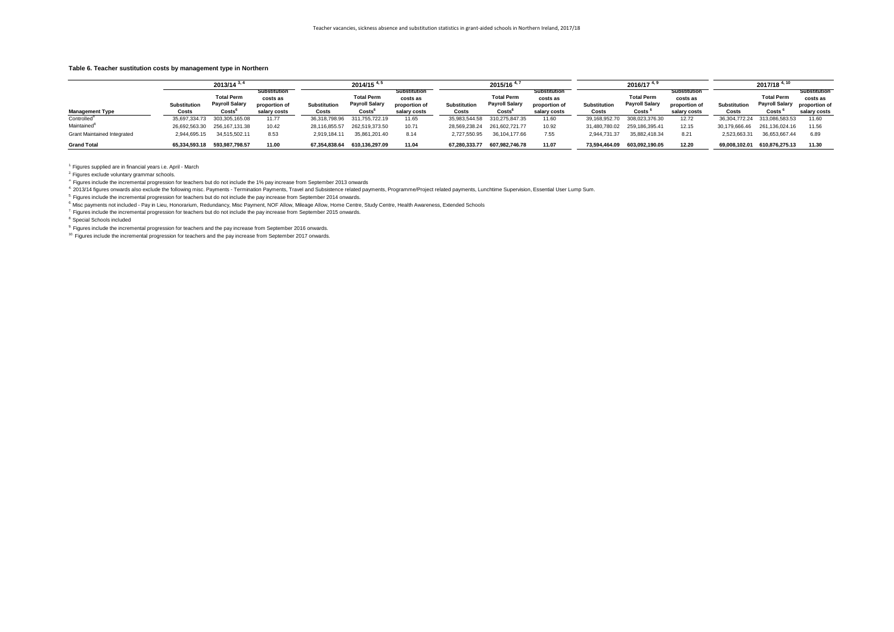| $2013/14^{3}$                      |                              |                                                      |                                                                  | $2014/15$ <sup>4,</sup>             |                                                      |                                                                  | $2015/16$ <sup>4,</sup>             |                                                      |                                                                  |                                     | $2016/17$ <sup>4,</sup>                                    |                                                                  | $2017/18$ <sup>4, 10</sup>          |                                                     |                                                                  |
|------------------------------------|------------------------------|------------------------------------------------------|------------------------------------------------------------------|-------------------------------------|------------------------------------------------------|------------------------------------------------------------------|-------------------------------------|------------------------------------------------------|------------------------------------------------------------------|-------------------------------------|------------------------------------------------------------|------------------------------------------------------------------|-------------------------------------|-----------------------------------------------------|------------------------------------------------------------------|
| <b>Management Type</b>             | <b>Substitution</b><br>Costs | <b>Total Perm</b><br><b>Payroll Salary</b><br>Costs' | <b>Substitution</b><br>costs as<br>proportion of<br>salary costs | <b>Substitution</b><br><b>Costs</b> | <b>Total Perm</b><br><b>Payroll Salary</b><br>Costs' | <b>Substitution</b><br>costs as<br>proportion of<br>salary costs | <b>Substitution</b><br><b>Costs</b> | <b>Total Perm</b><br><b>Payroll Salary</b><br>Costs' | <b>Substitution</b><br>costs as<br>proportion of<br>salary costs | <b>Substitution</b><br><b>Costs</b> | <b>Total Perm</b><br><b>Payroll Salary</b><br><b>Costs</b> | <b>Substitution</b><br>costs as<br>proportion of<br>salary costs | <b>Substitution</b><br><b>Costs</b> | <b>Total Perm</b><br><b>Payroll Salary</b><br>Costs | <b>Substitution</b><br>costs as<br>proportion of<br>salary costs |
| Controlled <sup>8</sup>            | 35,697,334.73                | 303,305,165.08                                       | 11.77                                                            | 36,318,798.96                       | 311,755,722.19                                       | 11.65                                                            | 35,983,544.58                       | 310,275,847.35                                       | 11.60                                                            | 39,168,952.70                       | 308,023,376.30                                             | 12.72                                                            | 36,304,772.24                       | 313,086,583.53                                      | 11.60                                                            |
| Maintained <sup>8</sup>            | 26,692,563.30                | 256,167,131.38                                       | 10.42                                                            | 28,116,855.57                       | 262,519,373.50                                       | 10.71                                                            | 28,569,238.24                       | 261,602,721.77                                       | 10.92                                                            | 31,480,780.02                       | 259,186,395.41                                             | 12.15                                                            | 30,179,666.46                       | 261,136,024.16                                      | 11.56                                                            |
| <b>Grant Maintained Integrated</b> | 2,944,695.15                 | 34,515,502.11                                        | 8.53                                                             | 2,919,184.11                        | 35,861,201.40                                        | 8.14                                                             | 2,727,550.95                        | 36,104,177.66                                        | 7.55                                                             | 2,944,731.37                        | 35,882,418.34                                              | 8.21                                                             | 2,523,663.31                        | 36,653,667.44                                       | 6.89                                                             |
| <b>Grand Total</b>                 |                              | 65,334,593.18    593,987,798.57                      | 11.00                                                            | 67,354,838.64                       | 610,136,297.09                                       | 11.04                                                            |                                     | 67,280,333.77 607,982,746.78                         | 11.07                                                            | 73,594,464.09                       | 603,092,190.05                                             | 12.20                                                            | 69,008,102.01                       | 610,876,275.13                                      | 11.30                                                            |

 $1$ . Figures supplied are in financial years i.e. April - March

<sup>2</sup>. Figures exclude voluntary grammar schools.

<sup>3.</sup> Figures include the incremental progression for teachers but do not include the 1% pay increase from September 2013 onwards

<sup>4.</sup> 2013/14 figures onwards also exclude the following misc. Payments - Termination Payments, Travel and Subsistence related payments, Programme/Project related payments, Lunchtime Supervision, Essential User Lump Sum. <sup>5.</sup> Figures include the incremental progression for teachers but do not include the pay increase from September 2014 onwards.

<sup>6.</sup> Misc payments not included - Pay in Lieu, Honorarium, Redundancy, Misc Payment, NOF Allow, Mileage Allow, Home Centre, Study Centre, Health Awareness, Extended Schools  $7$ . Figures include the incremental progression for teachers but do not include the pay increase from September 2015 onwards.

8. Special Schools included

 $9.$  Figures include the incremental progression for teachers and the pay increase from September 2016 onwards.

<sup>10.</sup> Figures include the incremental progression for teachers and the pay increase from September 2017 onwards.

## **Table 6. Teacher sustitution costs by management type in Northern**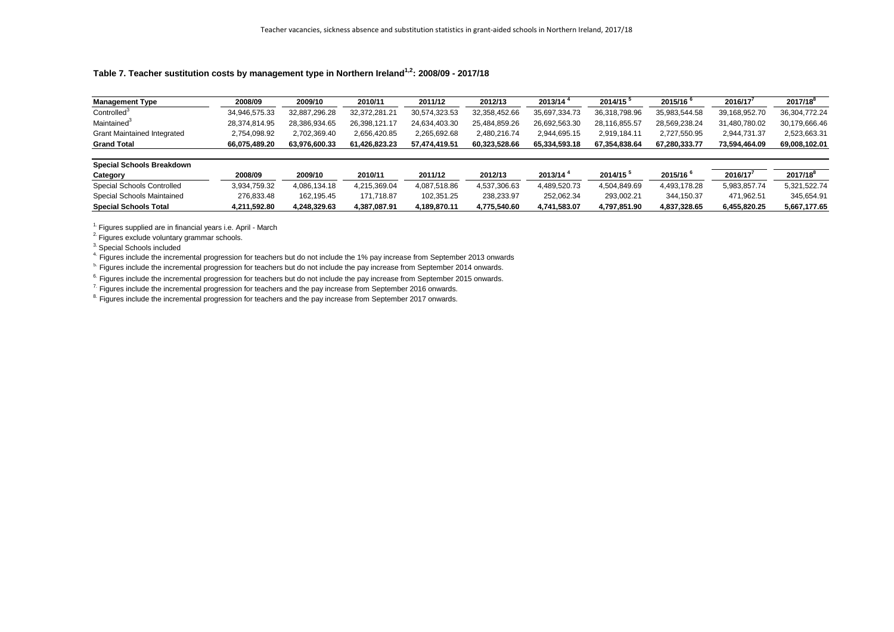| <b>Management Type</b>             | 2008/09       | 2009/10       | 2010/11       | 2011/12       | 2012/13       | 2013/14       | $2014/15$ <sup>5</sup> | 2015/16              | 2016/17       | $2017/18^{8}$ |
|------------------------------------|---------------|---------------|---------------|---------------|---------------|---------------|------------------------|----------------------|---------------|---------------|
| Controlled <sup>3</sup>            | 34,946,575.33 | 32,887,296.28 | 32,372,281.21 | 30,574,323.53 | 32,358,452.66 | 35,697,334.73 | 36,318,798.96          | 35,983,544.58        | 39,168,952.70 | 36,304,772.24 |
| Maintained <sup>3</sup>            | 28,374,814.95 | 28,386,934.65 | 26,398,121.17 | 24,634,403.30 | 25,484,859.26 | 26,692,563.30 | 28,116,855.57          | 28,569,238.24        | 31,480,780.02 | 30,179,666.46 |
| <b>Grant Maintained Integrated</b> | 2,754,098.92  | 2,702,369.40  | 2,656,420.85  | 2,265,692.68  | 2,480,216.74  | 2,944,695.15  | 2,919,184.11           | 2,727,550.95         | 2,944,731.37  | 2,523,663.31  |
| <b>Grand Total</b>                 | 66,075,489.20 | 63,976,600.33 | 61,426,823.23 | 57,474,419.51 | 60,323,528.66 | 65,334,593.18 | 67,354,838.64          | 67,280,333.77        | 73,594,464.09 | 69,008,102.01 |
| <b>Special Schools Breakdown</b>   |               |               |               |               |               |               |                        |                      |               |               |
| Category                           | 2008/09       | 2009/10       | 2010/11       | 2011/12       | 2012/13       | $2013/14^4$   | $2014/15^{5}$          | 2015/16 <sup>6</sup> | 2016/17       | $2017/18^{8}$ |
| <b>Special Schools Controlled</b>  | 3,934,759.32  | 4,086,134.18  | 4,215,369.04  | 4,087,518.86  | 4,537,306.63  | 4,489,520.73  | 4,504,849.69           | 4,493,178.28         | 5,983,857.74  | 5,321,522.74  |
| <b>Special Schools Maintained</b>  | 276,833.48    | 162,195.45    | 171,718.87    | 102,351.25    | 238,233.97    | 252,062.34    | 293,002.21             | 344,150.37           | 471,962.51    | 345,654.91    |
| <b>Special Schools Total</b>       | 4,211,592.80  | 4,248,329.63  | 4,387,087.91  | 4,189,870.11  | 4,775,540.60  | 4,741,583.07  | 4,797,851.90           | 4,837,328.65         | 6,455,820.25  | 5,667,177.65  |

3. Special Schools included

4. Figures include the incremental progression for teachers but do not include the 1% pay increase from September 2013 onwards

<sup>5.</sup> Figures include the incremental progression for teachers but do not include the pay increase from September 2014 onwards.

<sup>6.</sup> Figures include the incremental progression for teachers but do not include the pay increase from September 2015 onwards.

<sup>7</sup> Figures include the incremental progression for teachers and the pay increase from September 2016 onwards.

<sup>8.</sup> Figures include the incremental progression for teachers and the pay increase from September 2017 onwards.

## **Table 7. Teacher sustitution costs by management type in Northern Ireland1,2: 2008/09 - 2017/18**

 $1.$  Figures supplied are in financial years i.e. April - March

<sup>2</sup>. Figures exclude voluntary grammar schools.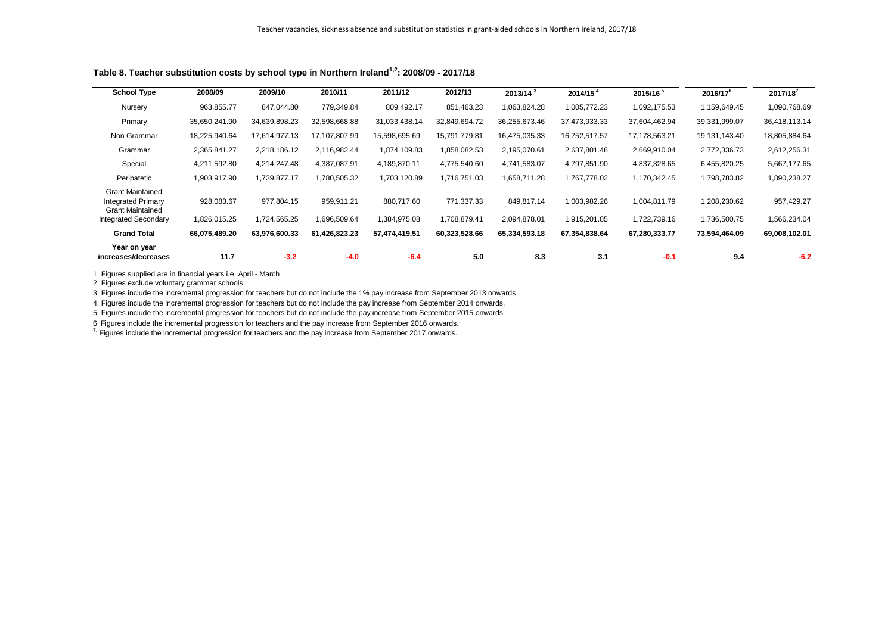| <b>School Type</b>                                                                                             | 2008/09                    | 2009/10                    | 2010/11                    | 2011/12                    | 2012/13                    | 2013/14 <sup>3</sup>       | 2014/15 <sup>4</sup>         | 2015/16 <sup>5</sup>         | $2016/17^6$                  | $2017/18^{7}$              |
|----------------------------------------------------------------------------------------------------------------|----------------------------|----------------------------|----------------------------|----------------------------|----------------------------|----------------------------|------------------------------|------------------------------|------------------------------|----------------------------|
| Nursery                                                                                                        | 963,855.77                 | 847,044.80                 | 779,349.84                 | 809,492.17                 | 851,463.23                 | 1,063,824.28               | 1,005,772.23                 | 1,092,175.53                 | 1,159,649.45                 | 1,090,768.69               |
| Primary                                                                                                        | 35,650,241.90              | 34,639,898.23              | 32,598,668.88              | 31,033,438.14              | 32,849,694.72              | 36,255,673.46              | 37,473,933.33                | 37,604,462.94                | 39,331,999.07                | 36,418,113.14              |
| Non Grammar                                                                                                    | 18,225,940.64              | 17,614,977.13              | 17,107,807.99              | 15,598,695.69              | 15,791,779.81              | 16,475,035.33              | 16,752,517.57                | 17,178,563.21                | 19,131,143.40                | 18,805,884.64              |
| Grammar                                                                                                        | 2,365,841.27               | 2,218,186.12               | 2,116,982.44               | 1,874,109.83               | 1,858,082.53               | 2,195,070.61               | 2,637,801.48                 | 2,669,910.04                 | 2,772,336.73                 | 2,612,256.31               |
| Special                                                                                                        | 4,211,592.80               | 4,214,247.48               | 4,387,087.91               | 4,189,870.11               | 4,775,540.60               | 4,741,583.07               | 4,797,851.90                 | 4,837,328.65                 | 6,455,820.25                 | 5,667,177.65               |
| Peripatetic                                                                                                    | 1,903,917.90               | 1,739,877.17               | 1,780,505.32               | 1,703,120.89               | 1,716,751.03               | 1,658,711.28               | 1,767,778.02                 | 1,170,342.45                 | 1,798,783.82                 | 1,890,238.27               |
| <b>Grant Maintained</b><br><b>Integrated Primary</b><br><b>Grant Maintained</b><br><b>Integrated Secondary</b> | 928,083.67<br>1,826,015.25 | 977,804.15<br>1,724,565.25 | 959,911.21<br>1,696,509.64 | 880,717.60<br>1,384,975.08 | 771,337.33<br>1,708,879.41 | 849,817.14<br>2,094,878.01 | 1,003,982.26<br>1,915,201.85 | 1,004,811.79<br>1,722,739.16 | 1,208,230.62<br>1,736,500.75 | 957,429.27<br>1,566,234.04 |
| <b>Grand Total</b>                                                                                             | 66,075,489.20              | 63,976,600.33              | 61,426,823.23              | 57,474,419.51              | 60,323,528.66              | 65,334,593.18              | 67,354,838.64                | 67,280,333.77                | 73,594,464.09                | 69,008,102.01              |
| Year on year<br>increases/decreases                                                                            | 11.7                       | $-3.2$                     | $-4.0$                     | $-6.4$                     | 5.0                        | 8.3                        | 3.1                          | $-0.1$                       | 9.4                          | $-6.2$                     |

**Table 8. Teacher substitution costs by school type in Northern Ireland1,2: 2008/09 - 2017/18**

1. Figures supplied are in financial years i.e. April - March

2. Figures exclude voluntary grammar schools.

3. Figures include the incremental progression for teachers but do not include the 1% pay increase from September 2013 onwards

4. Figures include the incremental progression for teachers but do not include the pay increase from September 2014 onwards.

5. Figures include the incremental progression for teachers but do not include the pay increase from September 2015 onwards.

6 . Figures include the incremental progression for teachers and the pay increase from September 2016 onwards.

<sup>7.</sup> Figures include the incremental progression for teachers and the pay increase from September 2017 onwards.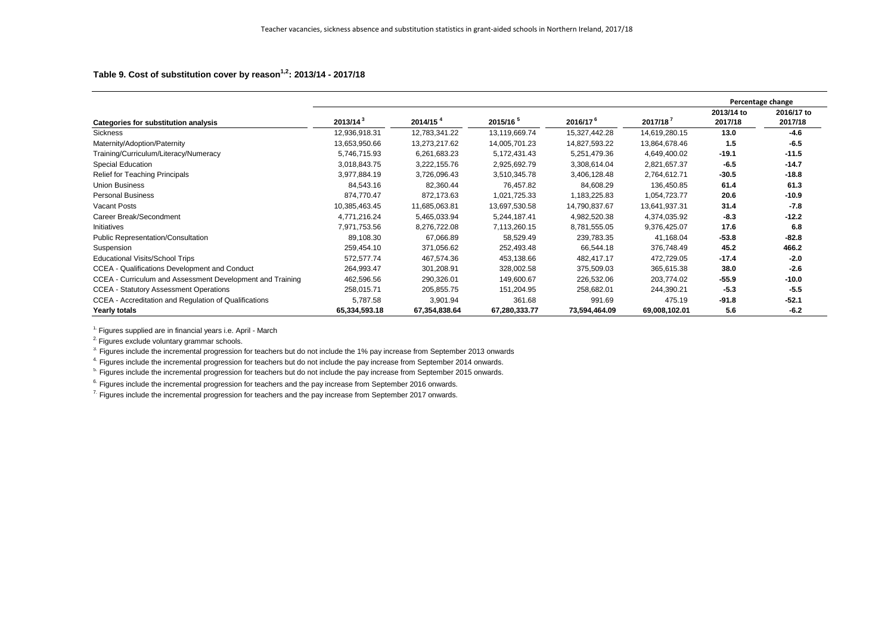## **Table 9. Cost of substitution cover by reason1,2: 2013/14 - 2017/18**

|                                                           |                      |                      |               |                      |               |                       | Percentage change     |
|-----------------------------------------------------------|----------------------|----------------------|---------------|----------------------|---------------|-----------------------|-----------------------|
| <b>Categories for substitution analysis</b>               | 2013/14 <sup>3</sup> | 2014/15 <sup>4</sup> | $2015/16^{5}$ | 2016/17 <sup>6</sup> | $2017/18^7$   | 2013/14 to<br>2017/18 | 2016/17 to<br>2017/18 |
| Sickness                                                  | 12,936,918.31        | 12,783,341.22        | 13,119,669.74 | 15,327,442.28        | 14,619,280.15 | 13.0                  | $-4.6$                |
| Maternity/Adoption/Paternity                              | 13,653,950.66        | 13,273,217.62        | 14,005,701.23 | 14,827,593.22        | 13,864,678.46 | 1.5                   | $-6.5$                |
| Training/Curriculum/Literacy/Numeracy                     | 5,746,715.93         | 6,261,683.23         | 5,172,431.43  | 5,251,479.36         | 4,649,400.02  | $-19.1$               | $-11.5$               |
| <b>Special Education</b>                                  | 3,018,843.75         | 3,222,155.76         | 2,925,692.79  | 3,308,614.04         | 2,821,657.37  | $-6.5$                | $-14.7$               |
| <b>Relief for Teaching Principals</b>                     | 3,977,884.19         | 3,726,096.43         | 3,510,345.78  | 3,406,128.48         | 2,764,612.71  | $-30.5$               | $-18.8$               |
| <b>Union Business</b>                                     | 84,543.16            | 82,360.44            | 76,457.82     | 84,608.29            | 136,450.85    | 61.4                  | 61.3                  |
| <b>Personal Business</b>                                  | 874,770.47           | 872,173.63           | 1,021,725.33  | 1,183,225.83         | 1,054,723.77  | 20.6                  | $-10.9$               |
| Vacant Posts                                              | 10,385,463.45        | 11,685,063.81        | 13,697,530.58 | 14,790,837.67        | 13,641,937.31 | 31.4                  | $-7.8$                |
| Career Break/Secondment                                   | 4,771,216.24         | 5,465,033.94         | 5,244,187.41  | 4,982,520.38         | 4,374,035.92  | $-8.3$                | $-12.2$               |
| Initiatives                                               | 7,971,753.56         | 8,276,722.08         | 7,113,260.15  | 8,781,555.05         | 9,376,425.07  | 17.6                  | 6.8                   |
| <b>Public Representation/Consultation</b>                 | 89,108.30            | 67,066.89            | 58,529.49     | 239,783.35           | 41,168.04     | $-53.8$               | $-82.8$               |
| Suspension                                                | 259,454.10           | 371,056.62           | 252,493.48    | 66,544.18            | 376,748.49    | 45.2                  | 466.2                 |
| <b>Educational Visits/School Trips</b>                    | 572,577.74           | 467,574.36           | 453,138.66    | 482,417.17           | 472,729.05    | $-17.4$               | $-2.0$                |
| <b>CCEA - Qualifications Development and Conduct</b>      | 264,993.47           | 301,208.91           | 328,002.58    | 375,509.03           | 365,615.38    | 38.0                  | $-2.6$                |
| CCEA - Curriculum and Assessment Development and Training | 462,596.56           | 290,326.01           | 149,600.67    | 226,532.06           | 203,774.02    | $-55.9$               | $-10.0$               |
| <b>CCEA - Statutory Assessment Operations</b>             | 258,015.71           | 205,855.75           | 151,204.95    | 258,682.01           | 244,390.21    | $-5.3$                | $-5.5$                |
| CCEA - Accreditation and Regulation of Qualifications     | 5,787.58             | 3,901.94             | 361.68        | 991.69               | 475.19        | $-91.8$               | $-52.1$               |
| <b>Yearly totals</b>                                      | 65,334,593.18        | 67,354,838.64        | 67,280,333.77 | 73,594,464.09        | 69,008,102.01 | 5.6                   | $-6.2$                |

 $1.$  Figures supplied are in financial years i.e. April - March

<sup>2</sup>. Figures exclude voluntary grammar schools.

<sup>3.</sup> Figures include the incremental progression for teachers but do not include the 1% pay increase from September 2013 onwards

<sup>4</sup>. Figures include the incremental progression for teachers but do not include the pay increase from September 2014 onwards.

<sup>5.</sup> Figures include the incremental progression for teachers but do not include the pay increase from September 2015 onwards.

<sup>6.</sup> Figures include the incremental progression for teachers and the pay increase from September 2016 onwards.

<sup>7.</sup> Figures include the incremental progression for teachers and the pay increase from September 2017 onwards.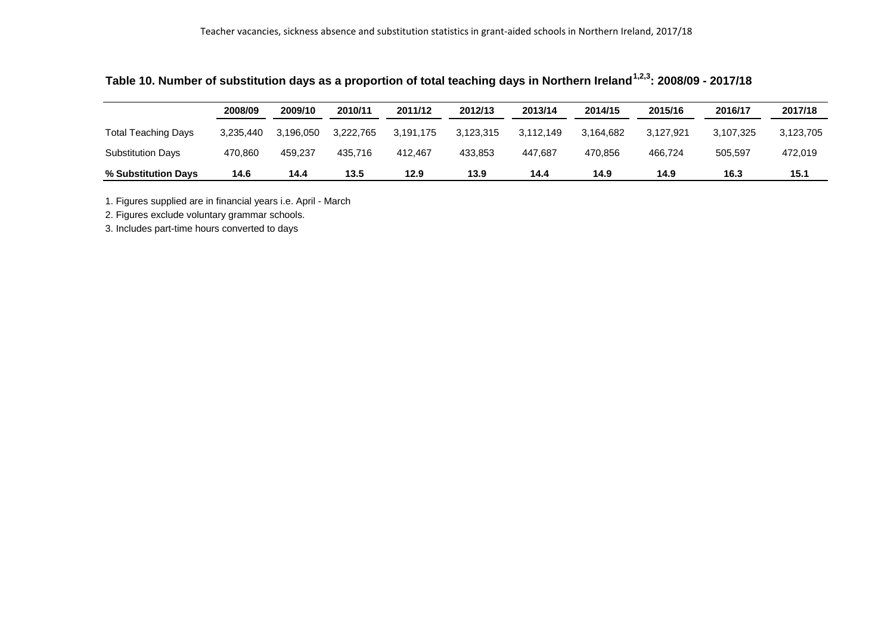|                            | 2008/09   | 2009/10   | 2010/11   | 2011/12   | 2012/13   | 2013/14   | 2014/15   | 2015/16   | 2016/17   | 2017/18   |
|----------------------------|-----------|-----------|-----------|-----------|-----------|-----------|-----------|-----------|-----------|-----------|
| <b>Total Teaching Days</b> | 3.235.440 | 3.196.050 | 3.222.765 | 3.191.175 | 3.123.315 | 3.112.149 | 3.164.682 | 3.127.921 | 3.107.325 | 3,123,705 |
| <b>Substitution Days</b>   | 470.860   | 459.237   | 435.716   | 412.467   | 433.853   | 447.687   | 470,856   | 466.724   | 505.597   | 472,019   |
| % Substitution Days        | 14.6      | 14.4      | 13.5      | 12.9      | 13.9      | 14.4      | 14.9      | 14.9      | 16.3      | 15.1      |

**Table 10. Number of substitution days as a proportion of total teaching days in Northern Ireland1,2,3: 2008/09 - 2017/18**

1. Figures supplied are in financial years i.e. April - March

2. Figures exclude voluntary grammar schools.

3. Includes part-time hours converted to days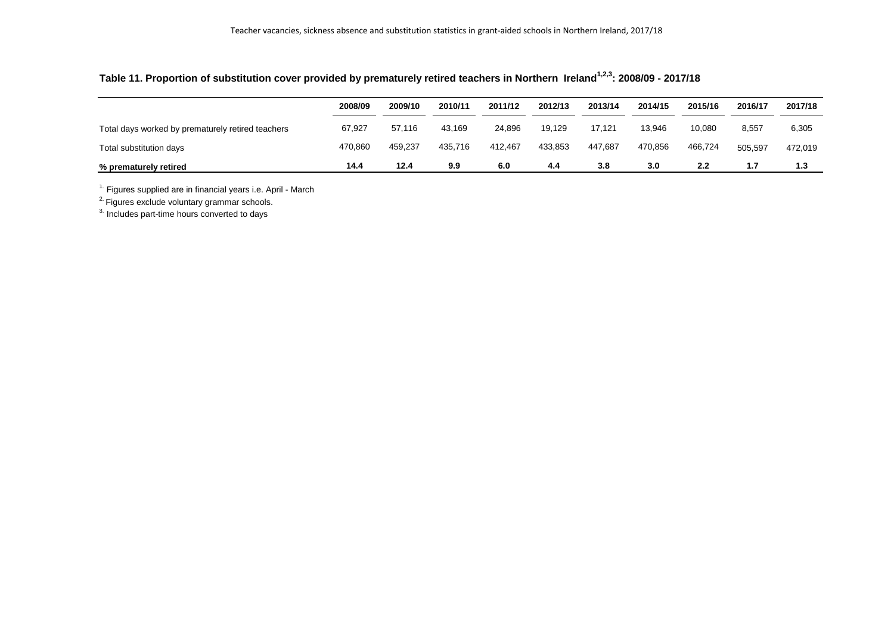## **Table 11. Proportion of substitution cover provided by prematurely retired teachers in Northern Ireland1,2,3: 2008/09 - 2017/18**

|                                                   | 2008/09 | 2009/10 | 2010/11 | 2011/12 | 2012/13 | 2013/14 | 2014/15 | 2015/16 | 2016/17 | 2017/18 |
|---------------------------------------------------|---------|---------|---------|---------|---------|---------|---------|---------|---------|---------|
| Total days worked by prematurely retired teachers | 67,927  | 57.116  | 43,169  | 24,896  | 19.129  | 17,121  | 13,946  | 10,080  | 8,557   | 6,305   |
| Total substitution days                           | 470,860 | 459,237 | 435,716 | 412.467 | 433,853 | 447,687 | 470,856 | 466,724 | 505,597 | 472,019 |
| % prematurely retired                             | 14.4    | 12.4    | 9.9     | 6.0     | 4.4     | 3.8     | 3.0     | 2.2     | 1.7     | 1.3     |

 $1$ . Figures supplied are in financial years i.e. April - March

<sup>2.</sup> Figures exclude voluntary grammar schools.

3. Includes part-time hours converted to days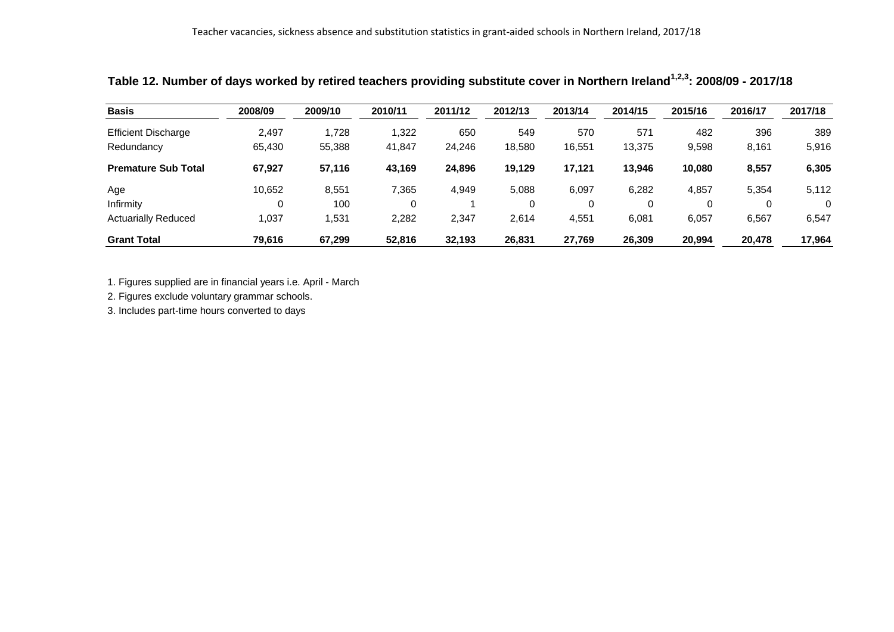| <b>Basis</b>               | 2008/09 | 2009/10 | 2010/11 | 2011/12 | 2012/13 | 2013/14 | 2014/15 | 2015/16 | 2016/17 | 2017/18  |
|----------------------------|---------|---------|---------|---------|---------|---------|---------|---------|---------|----------|
| <b>Efficient Discharge</b> | 2,497   | 1,728   | 1,322   | 650     | 549     | 570     | 571     | 482     | 396     | 389      |
| Redundancy                 | 65,430  | 55,388  | 41,847  | 24,246  | 18,580  | 16,551  | 13,375  | 9,598   | 8,161   | 5,916    |
| <b>Premature Sub Total</b> | 67,927  | 57,116  | 43,169  | 24,896  | 19.129  | 17,121  | 13,946  | 10,080  | 8,557   | 6,305    |
| Age                        | 10,652  | 8,551   | 7,365   | 4,949   | 5,088   | 6,097   | 6,282   | 4,857   | 5,354   | 5,112    |
| Infirmity                  | 0       | 100     |         |         | 0       | 0       |         |         | 0       | $\Omega$ |
| <b>Actuarially Reduced</b> | 1,037   | 1,531   | 2,282   | 2,347   | 2,614   | 4,551   | 6,081   | 6,057   | 6,567   | 6,547    |
| <b>Grant Total</b>         | 79,616  | 67,299  | 52,816  | 32,193  | 26,831  | 27,769  | 26,309  | 20,994  | 20,478  | 17,964   |

## **Table 12. Number of days worked by retired teachers providing substitute cover in Northern Ireland1,2,3: 2008/09 - 2017/18**

1. Figures supplied are in financial years i.e. April - March

2. Figures exclude voluntary grammar schools.

3. Includes part-time hours converted to days